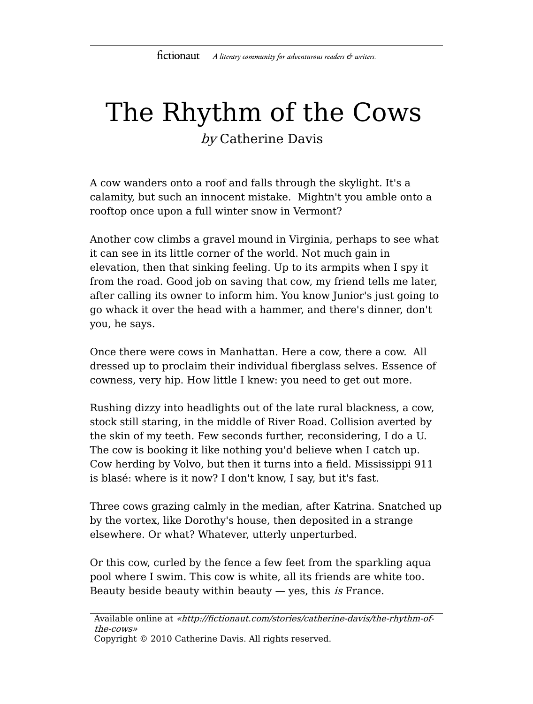## The Rhythm of the Cows

by Catherine Davis

A cow wanders onto a roof and falls through the skylight. It's a calamity, but such an innocent mistake. Mightn't you amble onto a rooftop once upon a full winter snow in Vermont?

Another cow climbs a gravel mound in Virginia, perhaps to see what it can see in its little corner of the world. Not much gain in elevation, then that sinking feeling. Up to its armpits when I spy it from the road. Good job on saving that cow, my friend tells me later, after calling its owner to inform him. You know Junior's just going to go whack it over the head with a hammer, and there's dinner, don't you, he says.

Once there were cows in Manhattan. Here a cow, there a cow. All dressed up to proclaim their individual fiberglass selves. Essence of cowness, very hip. How little I knew: you need to get out more.

Rushing dizzy into headlights out of the late rural blackness, a cow, stock still staring, in the middle of River Road. Collision averted by the skin of my teeth. Few seconds further, reconsidering, I do a U. The cow is booking it like nothing you'd believe when I catch up. Cow herding by Volvo, but then it turns into a field. Mississippi 911 is blasé: where is it now? I don't know, I say, but it's fast.

Three cows grazing calmly in the median, after Katrina. Snatched up by the vortex, like Dorothy's house, then deposited in a strange elsewhere. Or what? Whatever, utterly unperturbed.

Or this cow, curled by the fence a few feet from the sparkling aqua pool where I swim. This cow is white, all its friends are white too. Beauty beside beauty within beauty — yes, this is France.